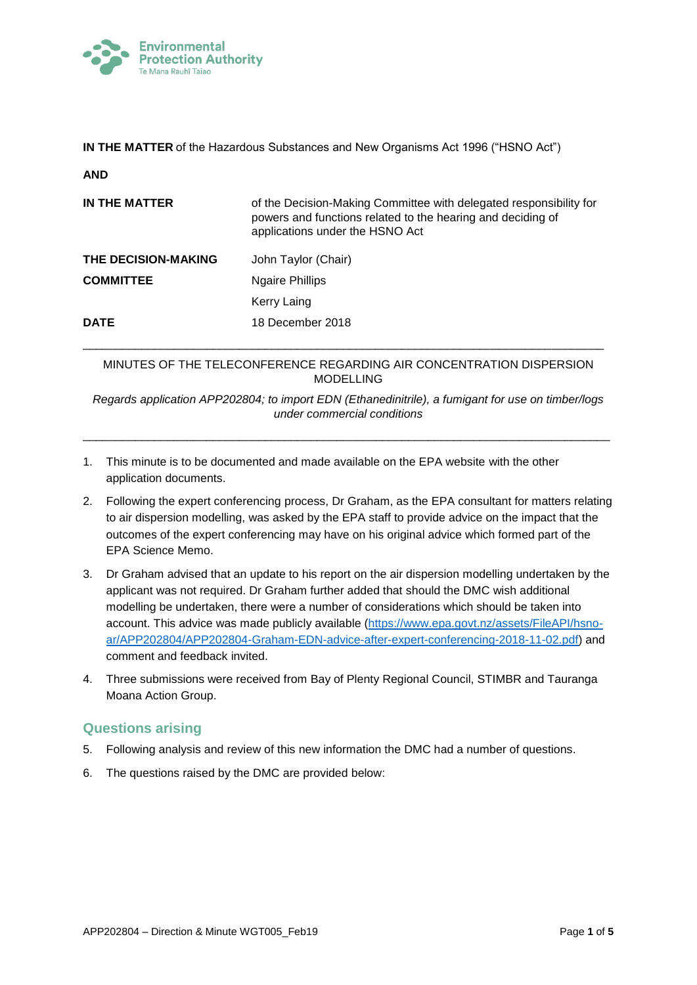

**IN THE MATTER** of the Hazardous Substances and New Organisms Act 1996 ("HSNO Act")

| ٧ |
|---|

| IN THE MATTER              | of the Decision-Making Committee with delegated responsibility for<br>powers and functions related to the hearing and deciding of<br>applications under the HSNO Act |
|----------------------------|----------------------------------------------------------------------------------------------------------------------------------------------------------------------|
| <b>THE DECISION-MAKING</b> | John Taylor (Chair)                                                                                                                                                  |
| <b>COMMITTEE</b>           | <b>Ngaire Phillips</b>                                                                                                                                               |
|                            | Kerry Laing                                                                                                                                                          |
| <b>DATE</b>                | 18 December 2018                                                                                                                                                     |

## MINUTES OF THE TELECONFERENCE REGARDING AIR CONCENTRATION DISPERSION MODELLING

\_\_\_\_\_\_\_\_\_\_\_\_\_\_\_\_\_\_\_\_\_\_\_\_\_\_\_\_\_\_\_\_\_\_\_\_\_\_\_\_\_\_\_\_\_\_\_\_\_\_\_\_\_\_\_\_\_\_\_\_\_\_\_\_\_\_\_\_\_\_\_\_\_\_\_\_\_\_\_\_

*Regards application APP202804; to import EDN (Ethanedinitrile), a fumigant for use on timber/logs under commercial conditions*

\_\_\_\_\_\_\_\_\_\_\_\_\_\_\_\_\_\_\_\_\_\_\_\_\_\_\_\_\_\_\_\_\_\_\_\_\_\_\_\_\_\_\_\_\_\_\_\_\_\_\_\_\_\_\_\_\_\_\_\_\_\_\_\_\_\_\_\_\_\_\_\_\_\_\_\_\_\_\_\_\_

- 1. This minute is to be documented and made available on the EPA website with the other application documents.
- 2. Following the expert conferencing process, Dr Graham, as the EPA consultant for matters relating to air dispersion modelling, was asked by the EPA staff to provide advice on the impact that the outcomes of the expert conferencing may have on his original advice which formed part of the EPA Science Memo.
- 3. Dr Graham advised that an update to his report on the air dispersion modelling undertaken by the applicant was not required. Dr Graham further added that should the DMC wish additional modelling be undertaken, there were a number of considerations which should be taken into account. This advice was made publicly available [\(https://www.epa.govt.nz/assets/FileAPI/hsno](https://www.epa.govt.nz/assets/FileAPI/hsno-ar/APP202804/APP202804-Graham-EDN-advice-after-expert-conferencing-2018-11-02.pdf)[ar/APP202804/APP202804-Graham-EDN-advice-after-expert-conferencing-2018-11-02.pdf\)](https://www.epa.govt.nz/assets/FileAPI/hsno-ar/APP202804/APP202804-Graham-EDN-advice-after-expert-conferencing-2018-11-02.pdf) and comment and feedback invited.
- 4. Three submissions were received from Bay of Plenty Regional Council, STIMBR and Tauranga Moana Action Group.

# **Questions arising**

- 5. Following analysis and review of this new information the DMC had a number of questions.
- 6. The questions raised by the DMC are provided below: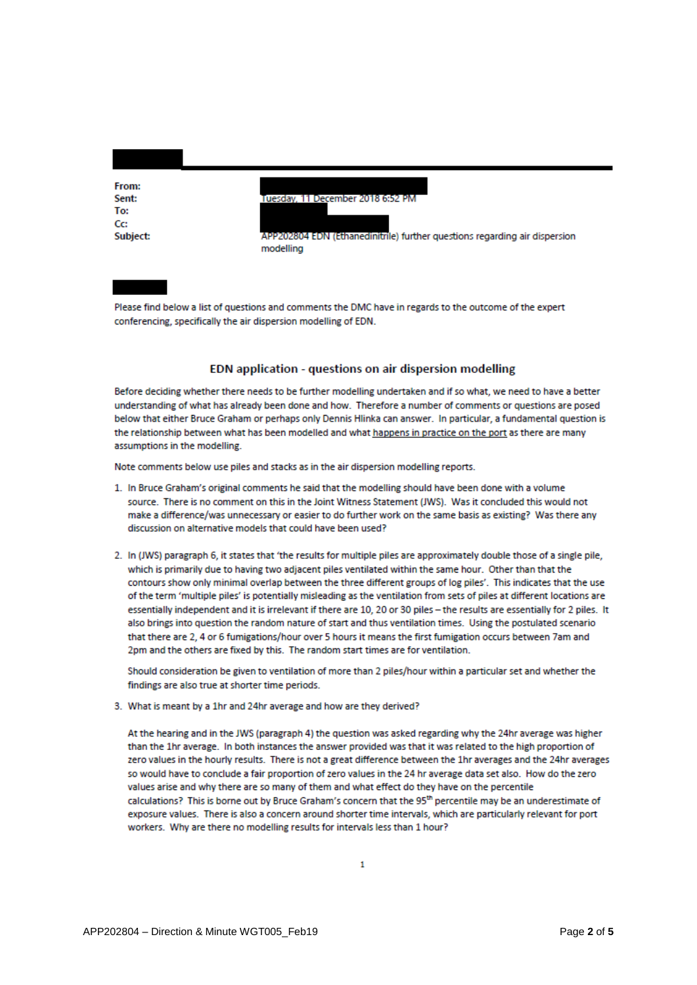From: Sent: To:  $C_{\mathbb{C}}$ Subject:

Tuesday, 11 December 2018 6:52 PM

APP202804 EDN (Ethanedinitrile) further questions regarding air dispersion modelling

Please find below a list of questions and comments the DMC have in regards to the outcome of the expert conferencing, specifically the air dispersion modelling of EDN.

### EDN application - questions on air dispersion modelling

Before deciding whether there needs to be further modelling undertaken and if so what, we need to have a better understanding of what has already been done and how. Therefore a number of comments or questions are posed below that either Bruce Graham or perhaps only Dennis Hlinka can answer. In particular, a fundamental question is the relationship between what has been modelled and what happens in practice on the port as there are many assumptions in the modelling.

Note comments below use piles and stacks as in the air dispersion modelling reports.

- 1. In Bruce Graham's original comments he said that the modelling should have been done with a volume source. There is no comment on this in the Joint Witness Statement (JWS). Was it concluded this would not make a difference/was unnecessary or easier to do further work on the same basis as existing? Was there any discussion on alternative models that could have been used?
- 2. In (JWS) paragraph 6, it states that 'the results for multiple piles are approximately double those of a single pile, which is primarily due to having two adjacent piles ventilated within the same hour. Other than that the contours show only minimal overlap between the three different groups of log piles'. This indicates that the use of the term 'multiple piles' is potentially misleading as the ventilation from sets of piles at different locations are essentially independent and it is irrelevant if there are 10, 20 or 30 piles - the results are essentially for 2 piles. It also brings into question the random nature of start and thus ventilation times. Using the postulated scenario that there are 2, 4 or 6 fumigations/hour over 5 hours it means the first fumigation occurs between 7am and 2pm and the others are fixed by this. The random start times are for ventilation.

Should consideration be given to ventilation of more than 2 piles/hour within a particular set and whether the findings are also true at shorter time periods.

3. What is meant by a 1hr and 24hr average and how are they derived?

At the hearing and in the JWS (paragraph 4) the question was asked regarding why the 24hr average was higher than the 1hr average. In both instances the answer provided was that it was related to the high proportion of zero values in the hourly results. There is not a great difference between the 1hr averages and the 24hr averages so would have to conclude a fair proportion of zero values in the 24 hr average data set also. How do the zero values arise and why there are so many of them and what effect do they have on the percentile calculations? This is borne out by Bruce Graham's concern that the 95<sup>th</sup> percentile may be an underestimate of exposure values. There is also a concern around shorter time intervals, which are particularly relevant for port workers. Why are there no modelling results for intervals less than 1 hour?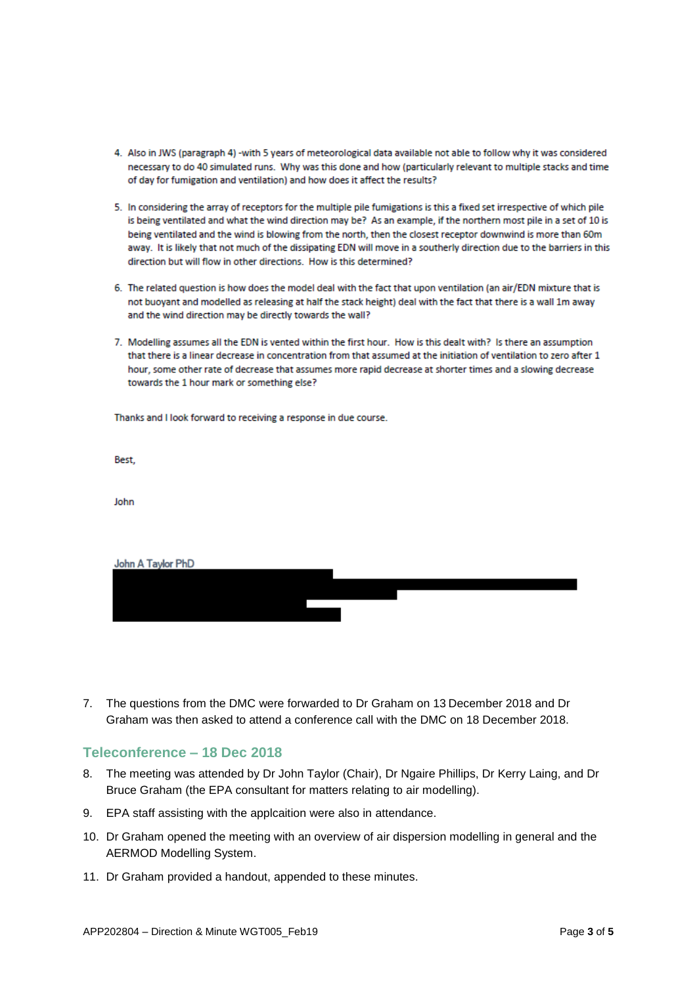- 4. Also in JWS (paragraph 4) -with 5 years of meteorological data available not able to follow why it was considered necessary to do 40 simulated runs. Why was this done and how (particularly relevant to multiple stacks and time of day for fumigation and ventilation) and how does it affect the results?
- 5. In considering the array of receptors for the multiple pile fumigations is this a fixed set irrespective of which pile is being ventilated and what the wind direction may be? As an example, if the northern most pile in a set of 10 is being ventilated and the wind is blowing from the north, then the closest receptor downwind is more than 60m away. It is likely that not much of the dissipating EDN will move in a southerly direction due to the barriers in this direction but will flow in other directions. How is this determined?
- 6. The related question is how does the model deal with the fact that upon ventilation (an air/EDN mixture that is not buoyant and modelled as releasing at half the stack height) deal with the fact that there is a wall 1m away and the wind direction may be directly towards the wall?
- 7. Modelling assumes all the EDN is vented within the first hour. How is this dealt with? Is there an assumption that there is a linear decrease in concentration from that assumed at the initiation of ventilation to zero after 1 hour, some other rate of decrease that assumes more rapid decrease at shorter times and a slowing decrease towards the 1 hour mark or something else?

Thanks and I look forward to receiving a response in due course.

Best,

John

| John A Taylor PhD |  |
|-------------------|--|
|                   |  |
|                   |  |
|                   |  |

7. The questions from the DMC were forwarded to Dr Graham on 13 December 2018 and Dr Graham was then asked to attend a conference call with the DMC on 18 December 2018.

### **Teleconference – 18 Dec 2018**

- 8. The meeting was attended by Dr John Taylor (Chair), Dr Ngaire Phillips, Dr Kerry Laing, and Dr Bruce Graham (the EPA consultant for matters relating to air modelling).
- 9. EPA staff assisting with the applcaition were also in attendance.
- 10. Dr Graham opened the meeting with an overview of air dispersion modelling in general and the AERMOD Modelling System.
- 11. Dr Graham provided a handout, appended to these minutes.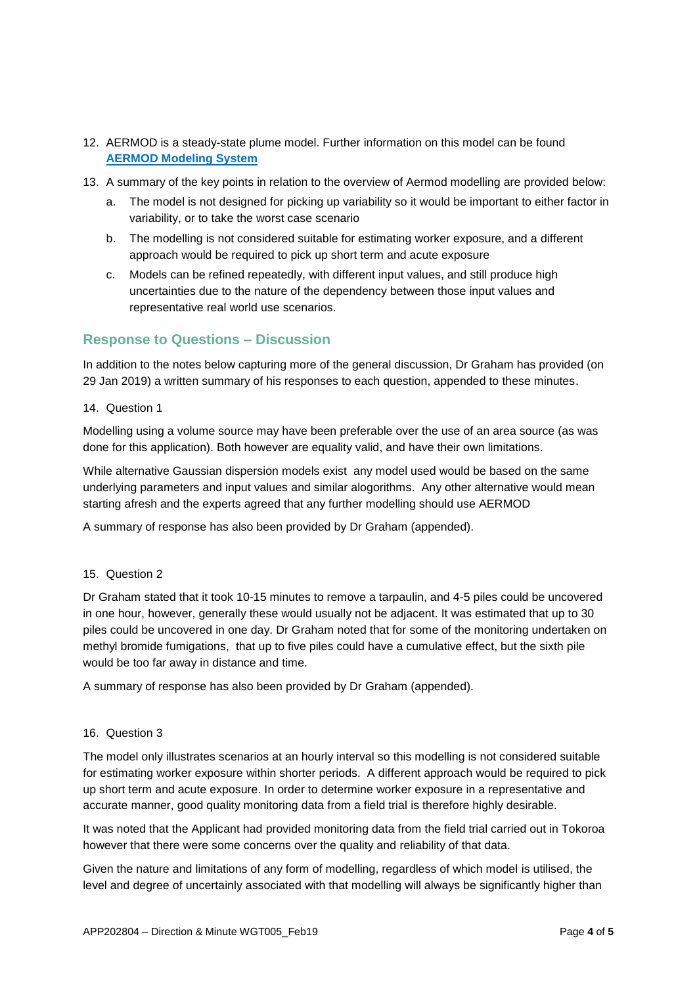- 12. AERMOD is a steady-state plume model. Further information on this model can be found **[AERMOD Modeling System](https://www.epa.gov/scram/air-quality-dispersion-modeling-preferred-and-recommended-models#aermod)**
- 13. A summary of the key points in relation to the overview of Aermod modelling are provided below:
	- a. The model is not designed for picking up variability so it would be important to either factor in variability, or to take the worst case scenario
	- b. The modelling is not considered suitable for estimating worker exposure, and a different approach would be required to pick up short term and acute exposure
	- c. Models can be refined repeatedly, with different input values, and still produce high uncertainties due to the nature of the dependency between those input values and representative real world use scenarios.

## **Response to Questions – Discussion**

In addition to the notes below capturing more of the general discussion, Dr Graham has provided (on 29 Jan 2019) a written summary of his responses to each question, appended to these minutes.

### 14. Question 1

Modelling using a volume source may have been preferable over the use of an area source (as was done for this application). Both however are equality valid, and have their own limitations.

While alternative Gaussian dispersion models exist any model used would be based on the same underlying parameters and input values and similar alogorithms. Any other alternative would mean starting afresh and the experts agreed that any further modelling should use AERMOD

A summary of response has also been provided by Dr Graham (appended).

### 15. Question 2

Dr Graham stated that it took 10-15 minutes to remove a tarpaulin, and 4-5 piles could be uncovered in one hour, however, generally these would usually not be adjacent. It was estimated that up to 30 piles could be uncovered in one day. Dr Graham noted that for some of the monitoring undertaken on methyl bromide fumigations, that up to five piles could have a cumulative effect, but the sixth pile would be too far away in distance and time.

A summary of response has also been provided by Dr Graham (appended).

### 16. Question 3

The model only illustrates scenarios at an hourly interval so this modelling is not considered suitable for estimating worker exposure within shorter periods. A different approach would be required to pick up short term and acute exposure. In order to determine worker exposure in a representative and accurate manner, good quality monitoring data from a field trial is therefore highly desirable.

It was noted that the Applicant had provided monitoring data from the field trial carried out in Tokoroa however that there were some concerns over the quality and reliability of that data.

Given the nature and limitations of any form of modelling, regardless of which model is utilised, the level and degree of uncertainly associated with that modelling will always be significantly higher than